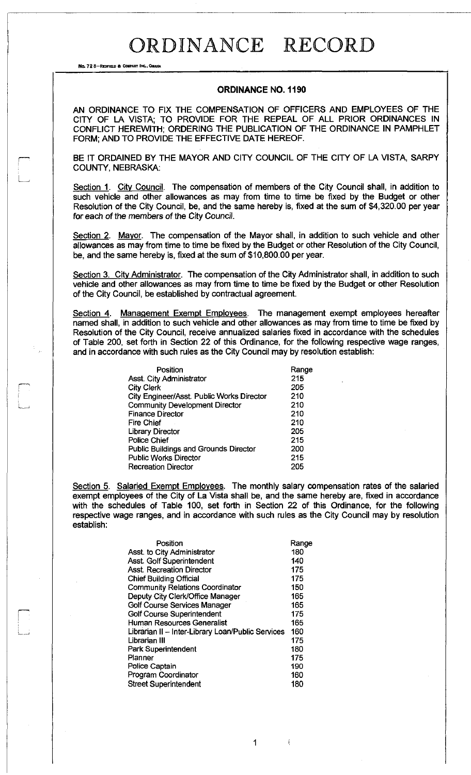No. 72 8-REDFIELD & COMPANY INC., OMANA

L.

### **ORDINANCE NO. 1190**

AN ORDINANCE TO FIX THE COMPENSATION OF OFFICERS AND EMPLOYEES OF THE CITY OF LA VISTA; TO PROVIDE FOR THE REPEAL OF ALL PRIOR ORDINANCES IN CONFLICT HEREWITH; ORDERING THE PUBLICATION OF THE ORDINANCE IN PAMPHLET FORM; AND TO PROVIDE THE EFFECTIVE DATE HEREOF.

BE IT ORDAINED BY THE MAYOR AND CITY COUNCIL OF THE CITY OF LA VISTA, SARPY COUNTY, NEBRASKA:

Section 1. City Council. The compensation of members of the City Council shall, in addition to such vehicle and other allowances as may from time to time be fixed by the Budget or other Resolution of the City Council, be, and the same hereby is, fixed at the sum of \$4,320.00 per year for each of the members of the City Council.

Section 2. Mayor. The compensation of the Mayor shall, in addition to such vehicle and other allowances as may from time to time be fixed by the Budget or other Resolution of the City Council, be, and the same hereby is, fixed at the sum of \$10,800.00 per year.

Section 3. City Administrator. The compensation of the City Administrator shall, in addition to such vehicle and other allowances as may from time to time be fixed by the Budget or other Resolution of the City Council, be established by contractual agreement.

Section 4. Management Exempt Employees. The management exempt employees hereafter named shall, in addition to such vehicle and other allowances as may from time to time be fixed by Resolution of the City Council, receive annualized salaries fixed in accordance with the schedules of Table 200, set forth in Section 22 of this Ordinance, for the following respective wage ranges, and in accordance with such rules as the City Council may by resolution establish:

| Position                                     | Range |
|----------------------------------------------|-------|
| Asst. City Administrator                     | 215   |
| <b>City Clerk</b>                            | 205   |
| City Engineer/Asst. Public Works Director    | 210   |
| <b>Community Development Director</b>        | 210   |
| <b>Finance Director</b>                      | 210   |
| <b>Fire Chief</b>                            | 210   |
| <b>Library Director</b>                      | 205   |
| <b>Police Chief</b>                          | 215   |
| <b>Public Buildings and Grounds Director</b> | 200   |
| <b>Public Works Director</b>                 | 215   |
| <b>Recreation Director</b>                   | 205   |

Section 5. Salaried Exempt Employees. The monthly salary compensation rates of the salaried exempt employees of the City of La Vista shall be, and the same hereby are, fixed in accordance with the schedules of Table 100, set forth in Section 22 of this Ordinance, for the following respective wage ranges, and in accordance with such rules as the City Council may by resolution establish:

1

| Position                                          | Range |
|---------------------------------------------------|-------|
| Asst. to City Administrator                       | 180   |
| Asst. Golf Superintendent                         | 140   |
| <b>Asst. Recreation Director</b>                  | 175   |
| <b>Chief Building Official</b>                    | 175   |
| <b>Community Relations Coordinator</b>            | 150   |
| Deputy City Clerk/Office Manager                  | 165   |
| Golf Course Services Manager                      | 165   |
| <b>Golf Course Superintendent</b>                 | 175   |
| <b>Human Resources Generalist</b>                 | 165   |
| Librarian II - Inter-Library Loan/Public Services | 160   |
| Librarian III                                     | 175   |
| Park Superintendent                               | 180   |
| Planner                                           | 175   |
| Police Captain                                    | 190   |
| Program Coordinator                               | 160   |
| <b>Street Superintendent</b>                      | 180   |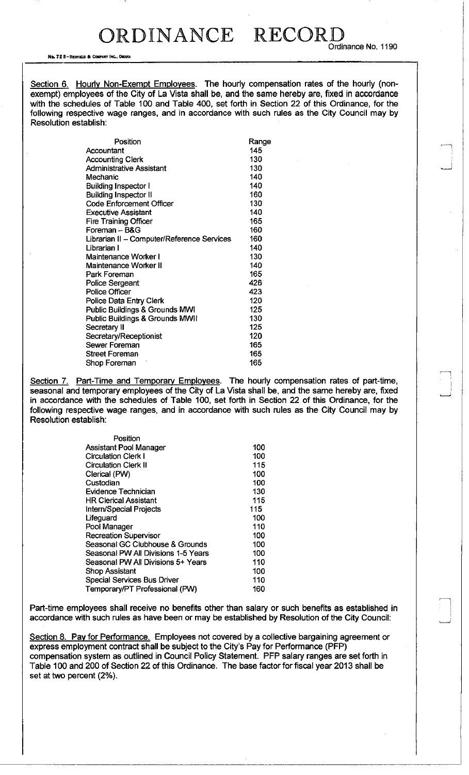No. 72 8-REDFULO 6 COMPANY INC., OMAHA

Section 6. Hourly Non-Exempt Employees. The hourly compensation rates of the hourly (nonexempt) employees of the City of La Vista shall be, and the same hereby are, fixed in accordance with the schedules of Table 100 and Table 400, set forth in Section 22 of this Ordinance, for the following respective wage ranges, and in accordance with such rules as the City Council may by Resolution establish:

| Position                                   | Range |
|--------------------------------------------|-------|
| Accountant                                 | 145   |
| <b>Accounting Clerk</b>                    | 130   |
| Administrative Assistant                   | 130   |
| Mechanic                                   | 140   |
| <b>Building Inspector I</b>                | 140   |
| <b>Building Inspector II</b>               | 160   |
| <b>Code Enforcement Officer</b>            | 130   |
| <b>Executive Assistant</b>                 | 140   |
| <b>Fire Training Officer</b>               | 165   |
| Foreman - B&G                              | 160   |
| Librarian II - Computer/Reference Services | 160   |
| Librarian I                                | 140   |
| Maintenance Worker I                       | 130   |
| <b>Maintenance Worker II</b>               | 140   |
| Park Foreman                               | 165   |
| <b>Police Sergeant</b>                     | 426   |
| <b>Police Officer</b>                      | 423   |
| Police Data Entry Clerk                    | 120   |
| Public Buildings & Grounds MWI             | 125   |
| Public Buildings & Grounds MWII            | 130   |
| Secretary II                               | 125   |
| Secretary/Receptionist                     | 120   |
| Sewer Foreman                              | 165   |
| <b>Street Foreman</b>                      | 165   |
| Shop Foreman                               | 165   |

Section 7. Part-Time and Temporary Employees. The hourly compensation rates of part-time, seasonal and temporary employees of the City of La Vista shall be, and the same hereby are, fixed in accordance with the schedules of Table 100, set forth in Section 22 of this Ordinance, for the following respective wage ranges, and in accordance with such rules as the City Council may by Resolution establish:

| Position                            |     |
|-------------------------------------|-----|
| <b>Assistant Pool Manager</b>       | 100 |
| <b>Circulation Clerk I</b>          | 100 |
| <b>Circulation Clerk II</b>         | 115 |
| Clerical (PW)                       | 100 |
| Custodian                           | 100 |
| Evidence Technician                 | 130 |
| <b>HR Clerical Assistant</b>        | 115 |
| Intern/Special Projects             | 115 |
| Lifeguard                           | 100 |
| Pool Manager                        | 110 |
| <b>Recreation Supervisor</b>        | 100 |
| Seasonal GC Clubhouse & Grounds     | 100 |
| Seasonal PW All Divisions 1-5 Years | 100 |
| Seasonal PW All Divisions 5+ Years  | 110 |
| Shop Assistant                      | 100 |
| <b>Special Services Bus Driver</b>  | 110 |
| Temporary/PT Professional (PW)      | 160 |

Part-time employees shall receive no benefits other than salary or such benefits as established in accordance with such rules as have been or may be established by Resolution of the City Council:

Section 8. Pay for Performance. Employees not covered by a collective bargaining agreement or express employment contract shall be subject to the City's Pay for Performance (PFP) compensation system as outlined in Council Policy Statement. PFP salary ranges are set forth in Table 100 and 200 of Section 22 of this Ordinance. The base factor for fiscal year 2013 shall be set at two percent (2%).

Ordinance No. 1190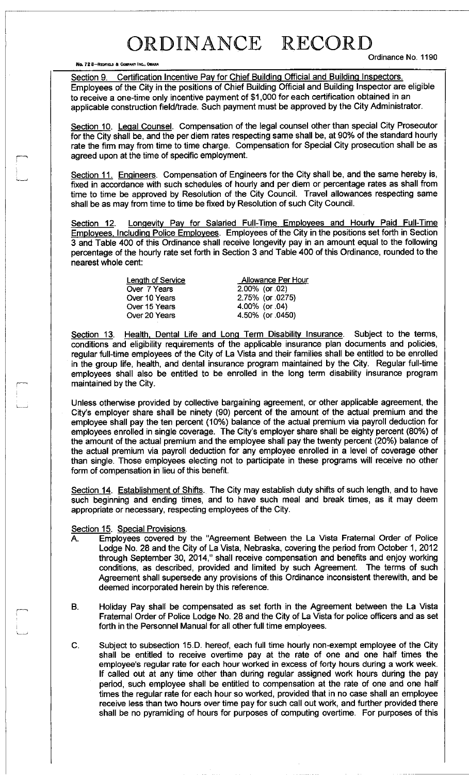No. 72 8-REOFIELD & COMPANY INC., OMAHA

Ordinance No. 1190

Section 9. Certification Incentive Pay for Chief Building Official and Building Inspectors. Employees of the City in the positions of Chief Building Official and Building Inspector are eligible to receive a one-time only incentive payment of \$1,000 for each certification obtained in an applicable construction field/trade. Such payment must be approved by the City Administrator.

Section 10. Legal Counsel. Compensation of the legal counsel other than special City Prosecutor for the City shall be, and the per diem rates respecting same shall be, at 90% of the standard hourly rate the firm may from time to time charge. Compensation for Special City prosecution shall be as agreed upon at the time of specific employment.

Section 11. Engineers. Compensation of Engineers for the City shall be, and the same hereby is, fixed in accordance with such schedules of hourly and per diem or percentage rates as shall from time to time be approved by Resolution of the City Council. Travel allowances respecting same shall be as may from time to time be fixed by Resolution of such City Council.

Section 12. Longevity Pav for Salaried Full-Time Employees and Hourly Paid Full-Time Employees, Including Police Employees. Employees of the City in the positions set forth in Section 3 and Table 400 of this Ordinance shall receive longevity pay in an amount equal to the following percentage of the hourly rate set forth in Section 3 and Table 400 of this Ordinance, rounded to the nearest whole cent:

> Over 7 Years Over 10 Years Over 15 Years Over 20 Years

Length of Service **Allowance Per Hour** 2.00% (or .02) 2.75% (or .0275) 4.00% (or .04) 4.50% (or .0450)

Section 13. Health, Dental Life and Long Term Disability Insurance. Subject to the terms, conditions and eligibility requirements of the applicable insurance plan documents and policies, regular full-time employees of the City of La Vista and their families shall be entitled to be enrolled in the group life, health, and dental insurance program maintained by the City. Regular full-time employees shall also be entitled to be enrolled in the long term disability insurance program maintained by the City.

Unless otherwise provided by collective bargaining agreement, or other applicable agreement, the City's employer share shall be ninety (90) percent of the amount of the actual premium and the employee shall pay the ten percent (10%) balance of the actual premium via payroll deduction for employees enrolled in single coverage. The City's employer share shall be eighty percent (80%) of the amount of the actual premium and the employee shall pay the twenty percent (20%) balance of the actual premium via payroll deduction for any employee enrolled in a level of coverage other than single. Those employees electing not to participate in these programs will receive no other form of compensation in lieu of this benefit.

Section 14. Establishment of Shifts. The City may establish duty shifts of such length, and to have such beginning and ending times, and to have such meal and break times, as it may deem appropriate or necessary, respecting employees of the City.

### Section 15. Special Provisions.

- A. Employees covered by the "Agreement Between the La Vista Fraternal Order of Police Lodge No. 28 and the City of La Vista, Nebraska, covering the period from October 1, 2012 through September 30, 2014," shall receive compensation and benefits and enjoy working conditions, as described, provided and limited by such Agreement. The terms of such Agreement shall supersede any provisions of this Ordinance inconsistent therewith, and be deemed incorporated herein by this reference.
- B. Holiday Pay shall be compensated as set forth in the Agreement between the La Vista Fraternal Order of Police Lodge No. 28 and the City of La Vista for police officers and as set forth in the Personnel Manual for all other full time employees.
- C. Subject to subsection 15.D. hereof, each full time hourly non-exempt employee of the City shall be entitled to receive overtime pay at the rate of one and one half times the employee's regular rate for each hour worked in excess of forty hours during a work week. If called out at any time other than during regular assigned work hours during the pay period, such employee shall be entitled to compensation at the rate of one and one half times the regular rate for each hour so worked, provided that in no case shall an employee receive less than two hours over time pay for such call out work, and further provided there shall be no pyramiding of hours for purposes of computing overtime. For purposes of this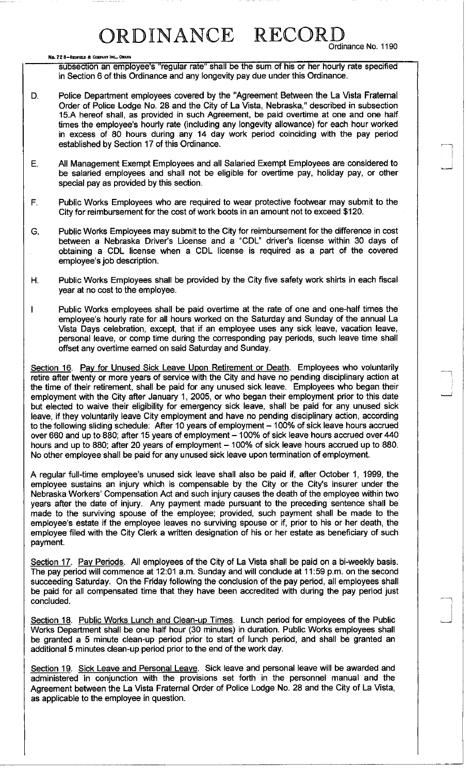#### No. 72 8-REDFIELD & COMPANY INC., OMAHA

Ordinance No. 1190

- subsection an employee's "regular rate" shall be the sum of his or her hourly rate specified in Section 6 of this Ordinance and any longevity pay due under this Ordinance.
- D. Police Department employees covered by the "Agreement Between the La Vista Fraternal Order of Police Lodge No. 28 and the City of La Vista, Nebraska," described in subsection 15.A hereof shall, as provided in such Agreement, be paid overtime at one and one half times the employee's hourly rate (including any longevity allowance) for each hour worked in excess of 80 hours during any 14 day work period coinciding with the pay period established by Section 17 of this Ordinance.
- E. All Management Exempt Employees and all Salaried Exempt Employees are considered to be salaried employees and shall not be eligible for overtime pay, holiday pay, or other special pay as provided by this section.
- F. Public Works Employees who are required to wear protective footwear may submit to the City for reimbursement for the cost of work boots in an amount not to exceed \$120.
- G. Public Works Employees may submit to the City for reimbursement for the difference in cost between a Nebraska Driver's License and a "CDL" driver's license within 30 days of obtaining a CDL license when a CDL license is required as a part of the covered employee's job description.
- H. Public Works Employees shall be provided by the City five safety work shirts in each fiscal year at no cost to the employee.
- I Public Works employees shall be paid overtime at the rate of one and one-half times the employee's hourly rate for all hours worked on the Saturday and Sunday of the annual La Vista Days celebration, except, that if an employee uses any sick leave, vacation leave, personal leave, or comp time during the corresponding pay periods, such leave time shall offset any overtime earned on said Saturday and Sunday.

Section 16. Pay for Unused Sick Leave Upon Retirement or Death. Employees who voluntarily retire after twenty or more years of service with the City and have no pending disciplinary action at the time of their retirement, shall be paid for any unused sick leave. Employees who began their employment with the City after January 1, 2005, or who began their employment prior to this date but elected to waive their eligibility for emergency sick leave, shall be paid for any unused sick leave, if they voluntarily leave City employment and have no pending disciplinary action, according to the following sliding schedule: After 10 years of employment - 100% of sick leave hours accrued over 660 and up to 880; after 15 years of employment - 100% of sick leave hours accrued over 440 hours and up to 880; after 20 years of employment - 100% of sick leave hours accrued up to 880. No other employee shall be paid for any unused sick leave upon termination of employment.

A regular full-time employee's unused sick leave shall also be paid if, after October 1, 1999, the employee sustains an injury which is compensable by the City or the City's insurer under the Nebraska Workers' Compensation Act and such injury causes the death of the employee within two years after the date of injury. Any payment made pursuant to the preceding sentence shall be made to the surviving spouse of the employee; provided, such payment shall be made to the employee's estate if the employee leaves no surviving spouse or if, prior to his or her death, the employee filed with the City Clerk a written designation of his or her estate as beneficiary of such payment.

Section 17. Pay Periods. All employees of the City of La Vista shall be paid on a bi-weekly basis. The pay period will commence at 12:01 a.m. Sunday and will conclude at 11:59 p.m. on the second succeeding Saturday. On the Friday following the conclusion of the pay period, all employees shall be paid for all compensated time that they have been accredited with during the pay period just concluded.

Section 18. Public Works Lunch and Clean-up Times. Lunch period for employees of the Public Works Department shall be one half hour (30 minutes) in duration. Public Works employees shall be granted a 5 minute clean-up period prior to start of lunch period, and shall be granted an additional 5 minutes clean-up period prior to the end of the work day.

Section 19. Sick Leave and Personal Leave. Sick leave and personal leave will be awarded and administered in conjunction with the provisions set forth in the personnel manual and the Agreement between the La Vista Fraternal Order of Police Lodge No. 28 and the City of La Vista, as applicable to the employee in question.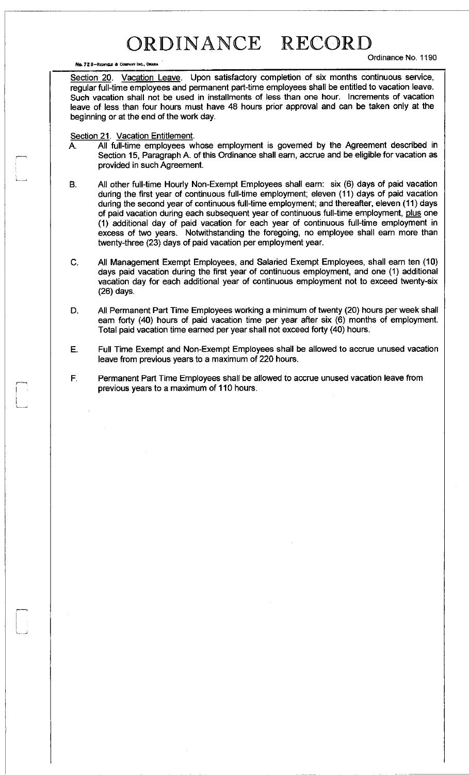NO. 72 S-RCONOO A COMPANY **inc.,** OMAHA

Ordinance No. 1190

Section 20. Vacation Leave. Upon satisfactory completion of six months continuous service, regular full-time employees and permanent part-time employees shall be entitled to vacation leave. Such vacation shall not be used in installments of less than one hour. Increments of vacation leave of less than four hours must have 48 hours prior approval and can be taken only at the beginning or at the end of the work day.

### Section 21. Vacation Entitlement.

- A. All full-time employees whose employment is governed by the Agreement described in Section 15, Paragraph A. of this Ordinance shall earn, accrue and be eligible for vacation as provided in such Agreement.
- B. All other full-time Hourly Non-Exempt Employees shall earn: six (6) days of paid vacation during the first year of continuous full-time employment; eleven (11) days of paid vacation during the second year of continuous full-time employment; and thereafter, eleven (11) days of paid vacation during each subsequent year of continuous full-time employment, plus one (1) additional day of paid vacation for each year of continuous full-time employment in excess of two years. Notwithstanding the foregoing, no employee shall earn more than twenty-three (23) days of paid vacation per employment year.
- C. All Management Exempt Employees, and Salaried Exempt Employees, shall earn ten (10) days paid vacation during the first year of continuous employment, and one (1) additional vacation day for each additional year of continuous employment not to exceed twenty-six (26) days.
- D. All Permanent Part Time Employees working a minimum of twenty (20) hours per week shall earn forty (40) hours of paid vacation time per year after six (6) months of employment. Total paid vacation time earned per year shall not exceed forty (40) hours.
- E. Full Time Exempt and Non-Exempt Employees shall be allowed to accrue unused vacation leave from previous years to a maximum of 220 hours.

Permanent Part Time Employees shall be allowed to accrue unused vacation leave from F. previous years to a maximum of 110 hours.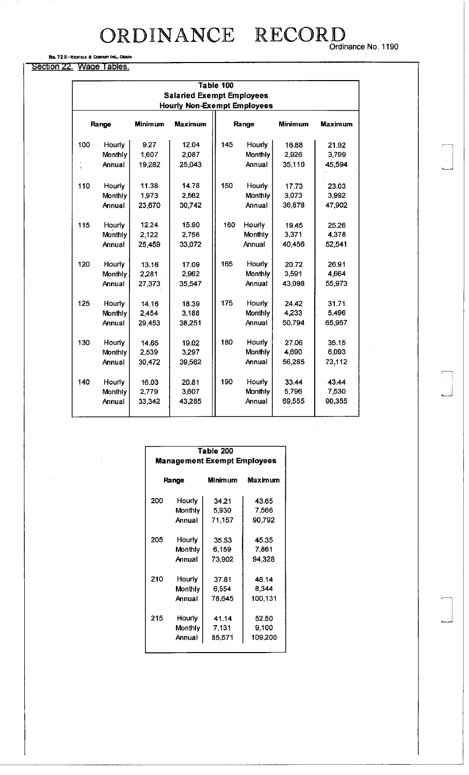No. 72 8-REDFIELD & COMPANY INC., OMAHA

Section 22. Wage Tables.

|       | Table 100<br><b>Salaried Exempt Employees</b> |                |                |       |               |                |                |  |  |
|-------|-----------------------------------------------|----------------|----------------|-------|---------------|----------------|----------------|--|--|
|       | <b>Hourly Non-Exempt Employees</b>            |                |                |       |               |                |                |  |  |
| Range |                                               | <b>Minimum</b> | <b>Maximum</b> | Range |               | <b>Minimum</b> | <b>Maximum</b> |  |  |
| 100   | Hourly                                        | 9.27           | 12.04          | 145   | <b>Hourly</b> | 16.88          | 21.92          |  |  |
|       | Monthly                                       | 1,607          | 2,087          |       | Monthly       | 2,926          | 3,799          |  |  |
|       | Annual                                        | 19,282         | 25.043         |       | Annual        | 35,110         | 45,594         |  |  |
| 110   | Hourly                                        | 11.38          | 14.78          | 150   | Hourly        | 17.73          | 23.03          |  |  |
|       | Monthly                                       | 1,973          | 2,562          |       | Monthly       | 3,073          | 3,992          |  |  |
|       | Annual                                        | 23,670         | 30742          |       | Annual        | 36,878         | 47.902         |  |  |
| 115   | Hourly                                        | 12.24          | 15.90          | 160   | Hourly        | 19.45          | 25.26          |  |  |
|       | Monthly                                       | 2,122          | 2,756          |       | Monthly       | 3,371          | 4,378          |  |  |
|       | Annual                                        | 25,459         | 33,072         |       | Annual        | 40,456         | 52,541         |  |  |
| 120   | Hourly                                        | 13.16          | 17.09          | 165   | Hourly        | 20.72          | 26.91          |  |  |
|       | Monthly                                       | 2,281          | 2,962          |       | Monthly       | 3,591          | 4,664          |  |  |
|       | Annual                                        | 27,373         | 35,547         |       | Annual        | 43,098         | 55,973         |  |  |
| 125   | Hourly                                        | 14.16          | 18.39          | 175   | Hourly        | 24.42          | 31.71          |  |  |
|       | Monthly                                       | 2,454          | 3,188          |       | Monthly       | 4,233          | 5,496          |  |  |
|       | Annual                                        | 29 453         | 38,251         |       | Annual        | 50,794         | 65,957         |  |  |
| 130   | Hourly                                        | 14.65          | 19.02          | 180   | Hourly        | 27.06          | 35.15          |  |  |
|       | Monthly                                       | 2,539          | 3,297          |       | Monthly       | 4,690          | 6,093          |  |  |
|       | Annual                                        | 30,472         | 39.562         |       | Annual        | 56,285         | 73,112         |  |  |
| 140   | Hourly                                        | 16.03          | 20.81          | 190   | Hourly        | 33.44          | 43.44          |  |  |
|       | Monthly                                       | 2,779          | 3,607          |       | Monthly       | 5,796          | 7,530          |  |  |
|       | Annual                                        | 33,342         | 43,285         |       | Annual        | 69,555         | 90,355         |  |  |
|       |                                               |                |                |       |               |                |                |  |  |

| Table 200<br><b>Management Exempt Employees</b> |         |         |         |  |
|-------------------------------------------------|---------|---------|---------|--|
| Range                                           |         | Minimum | Maximum |  |
| 200                                             | Hourly  | 34.21   | 43.65   |  |
|                                                 | Monthly | 5,930   | 7,566   |  |
|                                                 | Annual  | 71,157  | 90.792  |  |
| 205                                             | Hourly  | 35.53   | 45.35   |  |
|                                                 | Monthly | 6,159   | 7,861   |  |
|                                                 | Annual  | 73,902  | 94,328  |  |
| 210                                             | Hourly  | 3781    | 48.14   |  |
|                                                 | Monthly | 6,554   | 8.344   |  |
|                                                 | Annual  | 78.645  | 100,131 |  |
| 215                                             | Hourly  | 41.14   | 52.50   |  |
|                                                 | Monthly | 7.131   | 9,100   |  |
|                                                 | Annual  | 85.571  | 109,200 |  |

 $\bar{z}$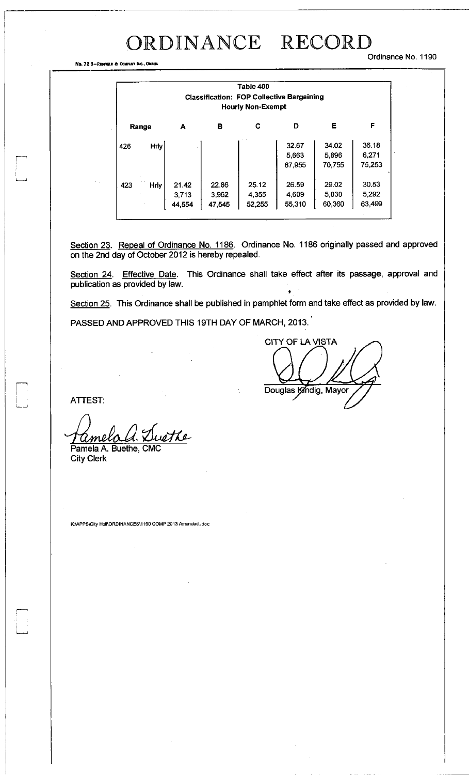#### Ordinance No. 1190

No. 72 8-RTOFIMI a COMPANY **Inc.,** OMAHA

| Table 400<br><b>Classification: FOP Collective Bargaining</b><br><b>Hourly Non-Exempt</b> |             |                          |                          |                          |                          |                          |                          |
|-------------------------------------------------------------------------------------------|-------------|--------------------------|--------------------------|--------------------------|--------------------------|--------------------------|--------------------------|
|                                                                                           | Range       | А                        | в                        | C                        | D                        | Е                        | F                        |
| 426                                                                                       | <b>Hrly</b> |                          |                          |                          | 32.67<br>5,663<br>67.955 | 34.02<br>5,896<br>70.755 | 36.18<br>6,271<br>75,253 |
| 423                                                                                       | Hriv        | 21.42<br>3,713<br>44,554 | 22.86<br>3,962<br>47,545 | 25.12<br>4.355<br>52,255 | 26.59<br>4.609<br>55.310 | 29.02<br>5.030<br>60,360 | 30.53<br>5,292<br>63,499 |

Section 23. Repeal of Ordinance No. 1186. Ordinance No. 1186 originally passed and approved on the 2nd day of October 2012 is hereby repealed.

Section 24. Effective Date. This Ordinance shall take effect after its passage, approval and publication as provided by law.

Section 25. This Ordinance shall be published in pamphlet form and take effect as provided by law.

PASSED AND APPROVED THIS 19TH DAY OF MARCH, 2013.

CITY OF LA VISTA Douglas Kindig, Mayor

ATTEST:

<u> Ame</u> Pamela A. Buethe, CMC

City Clerk

**K:\APPS\City Hall\ORDINANCES\1190 COMP 2013 Amended.** doc